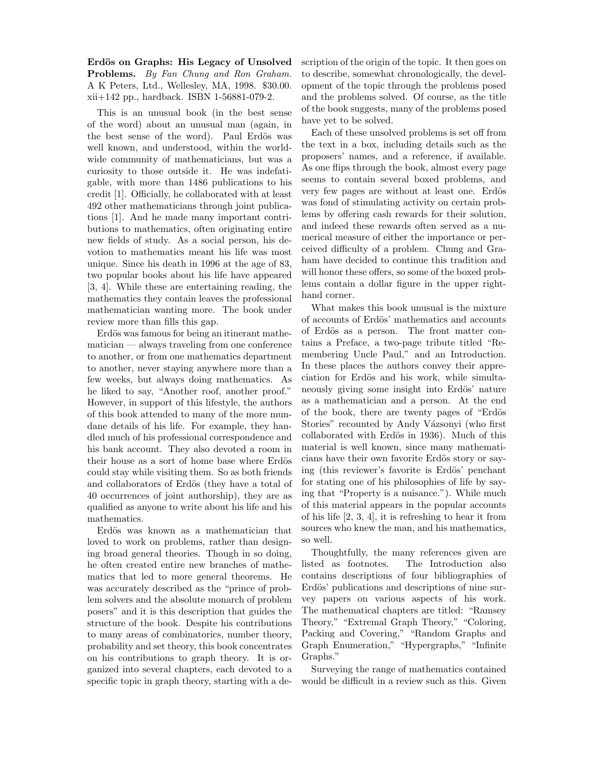Erdös on Graphs: His Legacy of Unsolved Problems. By Fan Chung and Ron Graham. A K Peters, Ltd., Wellesley, MA, 1998. \$30.00. xii+142 pp., hardback. ISBN 1-56881-079-2.

This is an unusual book (in the best sense of the word) about an unusual man (again, in the best sense of the word). Paul Erdös was well known, and understood, within the worldwide community of mathematicians, but was a curiosity to those outside it. He was indefatigable, with more than 1486 publications to his credit [1]. Officially, he collaborated with at least 492 other mathematicians through joint publications [1]. And he made many important contributions to mathematics, often originating entire new fields of study. As a social person, his devotion to mathematics meant his life was most unique. Since his death in 1996 at the age of 83, two popular books about his life have appeared [3, 4]. While these are entertaining reading, the mathematics they contain leaves the professional mathematician wanting more. The book under review more than fills this gap.

Erdös was famous for being an itinerant mathematician — always traveling from one conference to another, or from one mathematics department to another, never staying anywhere more than a few weeks, but always doing mathematics. As he liked to say, "Another roof, another proof." However, in support of this lifestyle, the authors of this book attended to many of the more mundane details of his life. For example, they handled much of his professional correspondence and his bank account. They also devoted a room in their house as a sort of home base where Erdös could stay while visiting them. So as both friends and collaborators of Erdös (they have a total of 40 occurrences of joint authorship), they are as qualified as anyone to write about his life and his mathematics.

Erdös was known as a mathematician that loved to work on problems, rather than designing broad general theories. Though in so doing, he often created entire new branches of mathematics that led to more general theorems. He was accurately described as the "prince of problem solvers and the absolute monarch of problem posers" and it is this description that guides the structure of the book. Despite his contributions to many areas of combinatorics, number theory, probability and set theory, this book concentrates on his contributions to graph theory. It is organized into several chapters, each devoted to a specific topic in graph theory, starting with a description of the origin of the topic. It then goes on to describe, somewhat chronologically, the development of the topic through the problems posed and the problems solved. Of course, as the title of the book suggests, many of the problems posed have yet to be solved.

Each of these unsolved problems is set off from the text in a box, including details such as the proposers' names, and a reference, if available. As one flips through the book, almost every page seems to contain several boxed problems, and very few pages are without at least one. Erdös was fond of stimulating activity on certain problems by offering cash rewards for their solution, and indeed these rewards often served as a numerical measure of either the importance or perceived difficulty of a problem. Chung and Graham have decided to continue this tradition and will honor these offers, so some of the boxed problems contain a dollar figure in the upper righthand corner.

What makes this book unusual is the mixture of accounts of Erdös' mathematics and accounts of Erdös as a person. The front matter contains a Preface, a two-page tribute titled "Remembering Uncle Paul," and an Introduction. In these places the authors convey their appreciation for Erdös and his work, while simultaneously giving some insight into Erdös' nature as a mathematician and a person. At the end of the book, there are twenty pages of "Erdös" Stories" recounted by Andy Vázsonyi (who first collaborated with Erdös in 1936). Much of this material is well known, since many mathematicians have their own favorite Erdös story or saying (this reviewer's favorite is Erdös' penchant for stating one of his philosophies of life by saying that "Property is a nuisance."). While much of this material appears in the popular accounts of his life [2, 3, 4], it is refreshing to hear it from sources who knew the man, and his mathematics, so well.

Thoughtfully, the many references given are listed as footnotes. The Introduction also contains descriptions of four bibliographies of Erdös' publications and descriptions of nine survey papers on various aspects of his work. The mathematical chapters are titled: "Ramsey Theory," "Extremal Graph Theory," "Coloring, Packing and Covering," "Random Graphs and Graph Enumeration," "Hypergraphs," "Infinite Graphs."

Surveying the range of mathematics contained would be difficult in a review such as this. Given